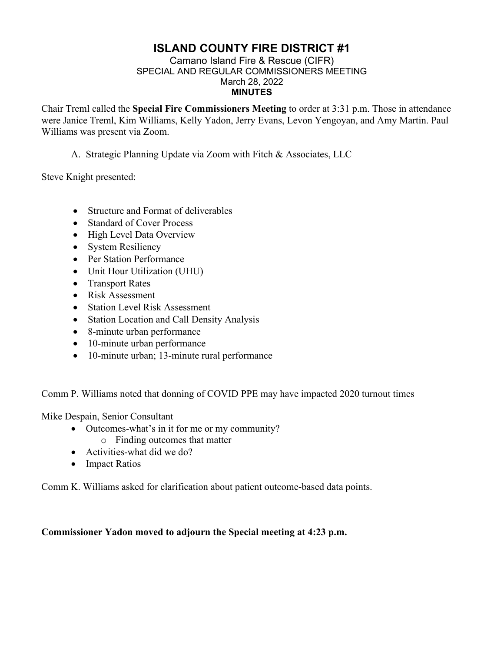# **ISLAND COUNTY FIRE DISTRICT #1**

#### Camano Island Fire & Rescue (CIFR) SPECIAL AND REGULAR COMMISSIONERS MEETING March 28, 2022 **MINUTES**

Chair Treml called the **Special Fire Commissioners Meeting** to order at 3:31 p.m. Those in attendance were Janice Treml, Kim Williams, Kelly Yadon, Jerry Evans, Levon Yengoyan, and Amy Martin. Paul Williams was present via Zoom.

## A. Strategic Planning Update via Zoom with Fitch & Associates, LLC

Steve Knight presented:

- Structure and Format of deliverables
- Standard of Cover Process
- High Level Data Overview
- System Resiliency
- Per Station Performance
- Unit Hour Utilization (UHU)
- Transport Rates
- Risk Assessment
- Station Level Risk Assessment
- Station Location and Call Density Analysis
- 8-minute urban performance
- 10-minute urban performance
- 10-minute urban; 13-minute rural performance

Comm P. Williams noted that donning of COVID PPE may have impacted 2020 turnout times

Mike Despain, Senior Consultant

- Outcomes-what's in it for me or my community?
	- o Finding outcomes that matter
- Activities-what did we do?
- Impact Ratios

Comm K. Williams asked for clarification about patient outcome-based data points.

#### **Commissioner Yadon moved to adjourn the Special meeting at 4:23 p.m.**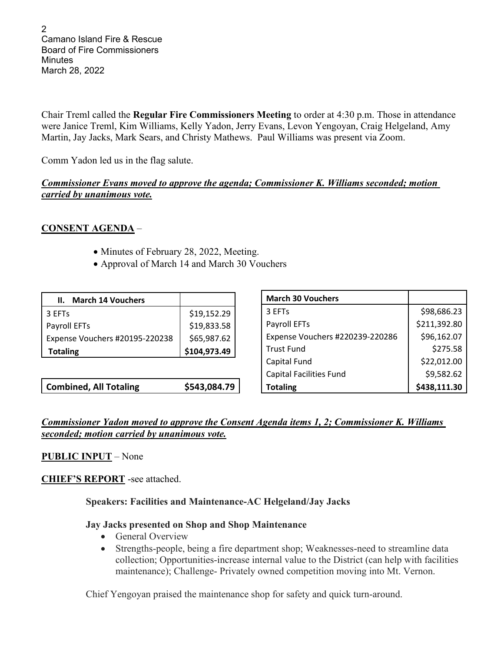2 Camano Island Fire & Rescue Board of Fire Commissioners **Minutes** March 28, 2022

Chair Treml called the **Regular Fire Commissioners Meeting** to order at 4:30 p.m. Those in attendance were Janice Treml, Kim Williams, Kelly Yadon, Jerry Evans, Levon Yengoyan, Craig Helgeland, Amy Martin, Jay Jacks, Mark Sears, and Christy Mathews. Paul Williams was present via Zoom.

Comm Yadon led us in the flag salute.

#### *Commissioner Evans moved to approve the agenda; Commissioner K. Williams seconded; motion carried by unanimous vote.*

## **CONSENT AGENDA** –

- Minutes of February 28, 2022, Meeting.
- Approval of March 14 and March 30 Vouchers

| \$19,152.29  |
|--------------|
| \$19,833.58  |
| \$65,987.62  |
| \$104,973.49 |
|              |

**Combined, All Totaling \$543,084.79**

| <b>March 30 Vouchers</b>        |              |
|---------------------------------|--------------|
| 3 EFT <sub>s</sub>              | \$98,686.23  |
| Payroll EFTs                    | \$211,392.80 |
| Expense Vouchers #220239-220286 | \$96,162.07  |
| <b>Trust Fund</b>               | \$275.58     |
| Capital Fund                    | \$22,012.00  |
| <b>Capital Facilities Fund</b>  | \$9,582.62   |
| <b>Totaling</b>                 | \$438,111.30 |

## *Commissioner Yadon moved to approve the Consent Agenda items 1, 2; Commissioner K. Williams seconded; motion carried by unanimous vote.*

## **PUBLIC INPUT** – None

**CHIEF'S REPORT** -see attached.

## **Speakers: Facilities and Maintenance-AC Helgeland/Jay Jacks**

## **Jay Jacks presented on Shop and Shop Maintenance**

- General Overview
- Strengths-people, being a fire department shop; Weaknesses-need to streamline data collection; Opportunities-increase internal value to the District (can help with facilities maintenance); Challenge- Privately owned competition moving into Mt. Vernon.

Chief Yengoyan praised the maintenance shop for safety and quick turn-around.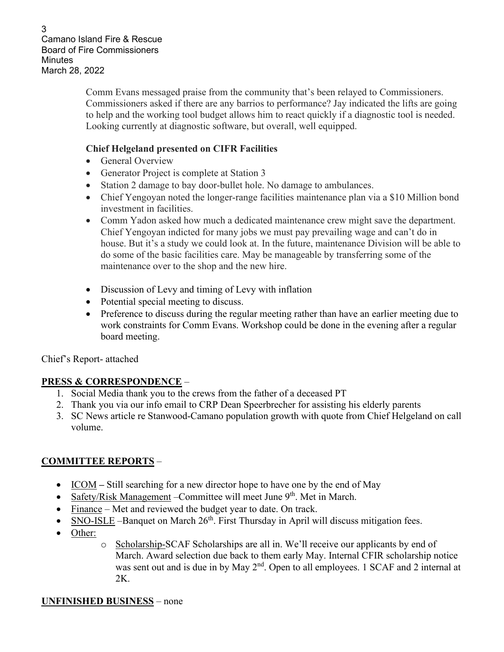3 Camano Island Fire & Rescue Board of Fire Commissioners **Minutes** March 28, 2022

> Comm Evans messaged praise from the community that's been relayed to Commissioners. Commissioners asked if there are any barrios to performance? Jay indicated the lifts are going to help and the working tool budget allows him to react quickly if a diagnostic tool is needed. Looking currently at diagnostic software, but overall, well equipped.

## **Chief Helgeland presented on CIFR Facilities**

- General Overview
- Generator Project is complete at Station 3
- Station 2 damage to bay door-bullet hole. No damage to ambulances.
- Chief Yengoyan noted the longer-range facilities maintenance plan via a \$10 Million bond investment in facilities.
- Comm Yadon asked how much a dedicated maintenance crew might save the department. Chief Yengoyan indicted for many jobs we must pay prevailing wage and can't do in house. But it's a study we could look at. In the future, maintenance Division will be able to do some of the basic facilities care. May be manageable by transferring some of the maintenance over to the shop and the new hire.
- Discussion of Levy and timing of Levy with inflation
- Potential special meeting to discuss.
- Preference to discuss during the regular meeting rather than have an earlier meeting due to work constraints for Comm Evans. Workshop could be done in the evening after a regular board meeting.

Chief's Report- attached

# **PRESS & CORRESPONDENCE** –

- 1. Social Media thank you to the crews from the father of a deceased PT
- 2. Thank you via our info email to CRP Dean Speerbrecher for assisting his elderly parents
- 3. SC News article re Stanwood-Camano population growth with quote from Chief Helgeland on call volume.

# **COMMITTEE REPORTS** –

- ICOM Still searching for a new director hope to have one by the end of May
- Safety/Risk Management Committee will meet June 9<sup>th</sup>. Met in March.
- Finance Met and reviewed the budget year to date. On track.
- SNO-ISLE –Banquet on March 26<sup>th</sup>. First Thursday in April will discuss mitigation fees.
- Other:
- o Scholarship-SCAF Scholarships are all in. We'll receive our applicants by end of March. Award selection due back to them early May. Internal CFIR scholarship notice was sent out and is due in by May  $2<sup>nd</sup>$ . Open to all employees. 1 SCAF and 2 internal at 2K.

## **UNFINISHED BUSINESS** – none